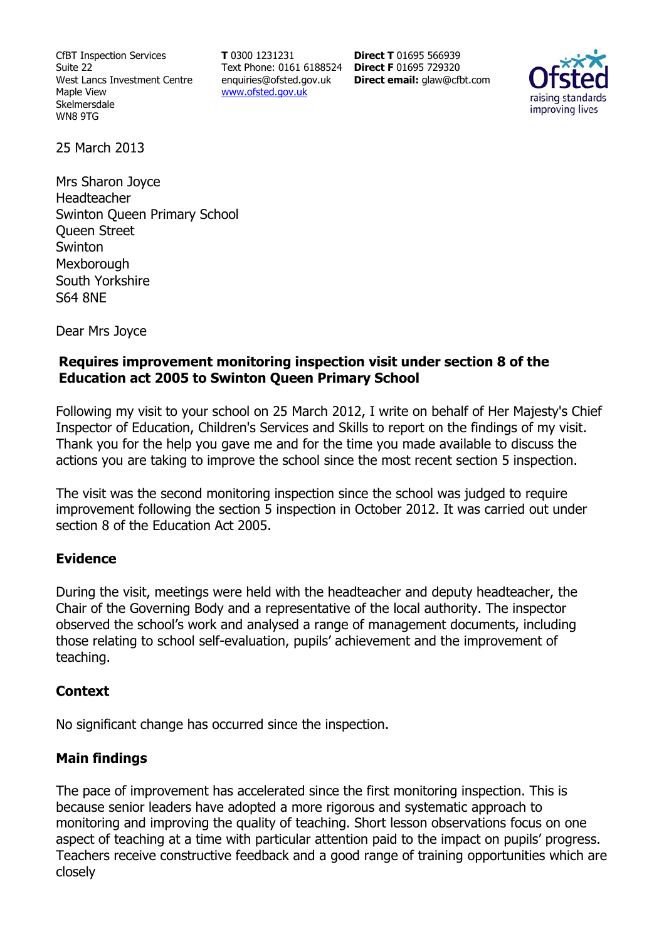CfBT Inspection Services Suite 22 West Lancs Investment Centre Maple View Skelmersdale WN8 9TG

**T** 0300 1231231 Text Phone: 0161 6188524 **Direct F** 01695 729320 enquiries@ofsted.gov.uk www.ofsted.gov.uk

**Direct T** 01695 566939 **Direct email:** glaw@cfbt.com



25 March 2013

Mrs Sharon Joyce Headteacher Swinton Queen Primary School Queen Street Swinton **Mexborough** South Yorkshire S64 8NE

Dear Mrs Joyce

## **Requires improvement monitoring inspection visit under section 8 of the Education act 2005 to Swinton Queen Primary School**

Following my visit to your school on 25 March 2012, I write on behalf of Her Majesty's Chief Inspector of Education, Children's Services and Skills to report on the findings of my visit. Thank you for the help you gave me and for the time you made available to discuss the actions you are taking to improve the school since the most recent section 5 inspection.

The visit was the second monitoring inspection since the school was judged to require improvement following the section 5 inspection in October 2012. It was carried out under section 8 of the Education Act 2005.

## **Evidence**

During the visit, meetings were held with the headteacher and deputy headteacher, the Chair of the Governing Body and a representative of the local authority. The inspector observed the school's work and analysed a range of management documents, including those relating to school self-evaluation, pupils' achievement and the improvement of teaching.

### **Context**

No significant change has occurred since the inspection.

## **Main findings**

The pace of improvement has accelerated since the first monitoring inspection. This is because senior leaders have adopted a more rigorous and systematic approach to monitoring and improving the quality of teaching. Short lesson observations focus on one aspect of teaching at a time with particular attention paid to the impact on pupils' progress. Teachers receive constructive feedback and a good range of training opportunities which are closely